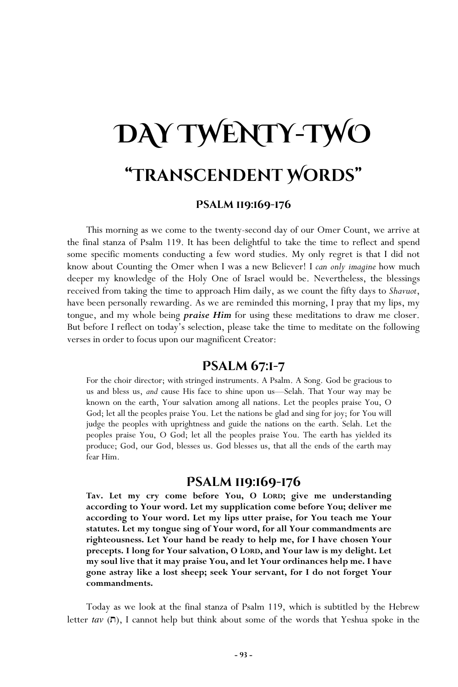# **DAY TWENTY-TWO "Transcendent Words"**

### **Psalm 119:169-176**

This morning as we come to the twenty-second day of our Omer Count, we arrive at the final stanza of Psalm 119. It has been delightful to take the time to reflect and spend some specific moments conducting a few word studies. My only regret is that I did not know about Counting the Omer when I was a new Believer! I *can only imagine* how much deeper my knowledge of the Holy One of Israel would be. Nevertheless, the blessings received from taking the time to approach Him daily, as we count the fifty days to *Shavuot*, have been personally rewarding. As we are reminded this morning, I pray that my lips, my tongue, and my whole being *praise Him* for using these meditations to draw me closer. But before I reflect on today's selection, please take the time to meditate on the following verses in order to focus upon our magnificent Creator:

# **Psalm 67:1-7**

For the choir director; with stringed instruments. A Psalm. A Song. God be gracious to us and bless us, *and* cause His face to shine upon us—Selah. That Your way may be known on the earth, Your salvation among all nations. Let the peoples praise You, O God; let all the peoples praise You. Let the nations be glad and sing for joy; for You will judge the peoples with uprightness and guide the nations on the earth. Selah. Let the peoples praise You, O God; let all the peoples praise You. The earth has yielded its produce; God, our God, blesses us. God blesses us, that all the ends of the earth may fear Him.

# **Psalm 119:169-176**

**Tav. Let my cry come before You, O LORD; give me understanding according to Your word. Let my supplication come before You; deliver me according to Your word. Let my lips utter praise, for You teach me Your statutes. Let my tongue sing of Your word, for all Your commandments are righteousness. Let Your hand be ready to help me, for I have chosen Your precepts. I long for Your salvation, O LORD, and Your law is my delight. Let my soul live that it may praise You, and let Your ordinances help me. I have gone astray like a lost sheep; seek Your servant, for I do not forget Your commandments.** 

Today as we look at the final stanza of Psalm 119, which is subtitled by the Hebrew letter *tav* ( $\Box$ ), I cannot help but think about some of the words that Yeshua spoke in the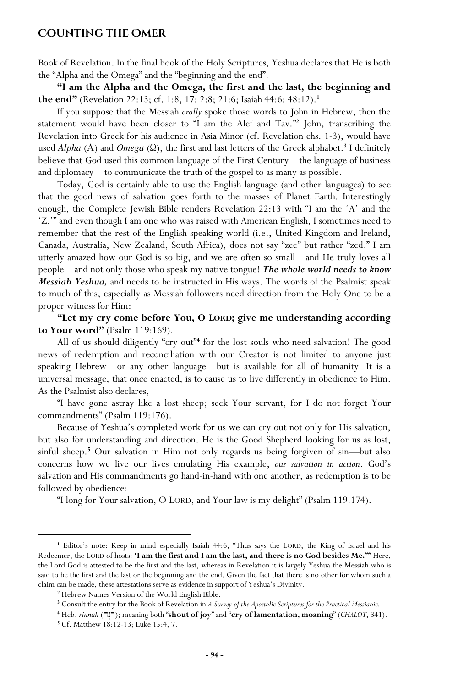#### **Counting the Omer**

Book of Revelation. In the final book of the Holy Scriptures, Yeshua declares that He is both the "Alpha and the Omega" and the "beginning and the end":

**"I am the Alpha and the Omega, the first and the last, the beginning and the end"** (Revelation 22:13; cf. 1:8, 17; 2:8; 21:6; Isaiah 44:6; 48:12).**<sup>1</sup>**

If you suppose that the Messiah *orally* spoke those words to John in Hebrew, then the statement would have been closer to "I am the Alef and Tav."**<sup>2</sup>** John, transcribing the Revelation into Greek for his audience in Asia Minor (cf. Revelation chs. 1-3), would have used *Alpha* (A) and *Omega* ( $\Omega$ ), the first and last letters of the Greek alphabet.<sup>3</sup> I definitely believe that God used this common language of the First Century—the language of business and diplomacy—to communicate the truth of the gospel to as many as possible.

Today, God is certainly able to use the English language (and other languages) to see that the good news of salvation goes forth to the masses of Planet Earth. Interestingly enough, the Complete Jewish Bible renders Revelation 22:13 with "I am the 'A' and the 'Z,'" and even though I am one who was raised with American English, I sometimes need to remember that the rest of the English-speaking world (i.e., United Kingdom and Ireland, Canada, Australia, New Zealand, South Africa), does not say "zee" but rather "zed." I am utterly amazed how our God is so big, and we are often so small—and He truly loves all people—and not only those who speak my native tongue! *The whole world needs to know Messiah Yeshua,* and needs to be instructed in His ways. The words of the Psalmist speak to much of this, especially as Messiah followers need direction from the Holy One to be a proper witness for Him:

**"Let my cry come before You, O LORD; give me understanding according to Your word"** (Psalm 119:169).

All of us should diligently "cry out"**<sup>4</sup>** for the lost souls who need salvation! The good news of redemption and reconciliation with our Creator is not limited to anyone just speaking Hebrew—or any other language—but is available for all of humanity. It is a universal message, that once enacted, is to cause us to live differently in obedience to Him. As the Psalmist also declares,

"I have gone astray like a lost sheep; seek Your servant, for I do not forget Your commandments" (Psalm 119:176).

Because of Yeshua's completed work for us we can cry out not only for His salvation, but also for understanding and direction. He is the Good Shepherd looking for us as lost, sinful sheep.**<sup>5</sup>** Our salvation in Him not only regards us being forgiven of sin—but also concerns how we live our lives emulating His example, *our salvation in action*. God's salvation and His commandments go hand-in-hand with one another, as redemption is to be followed by obedience:

"I long for Your salvation, O LORD, and Your law is my delight" (Psalm 119:174).

**<sup>1</sup>** Editor's note: Keep in mind especially Isaiah 44:6, "Thus says the LORD, the King of Israel and his Redeemer, the LORD of hosts: **'I am the first and I am the last, and there is no God besides Me.'"** Here, the Lord God is attested to be the first and the last, whereas in Revelation it is largely Yeshua the Messiah who is said to be the first and the last or the beginning and the end. Given the fact that there is no other for whom such a claim can be made, these attestations serve as evidence in support of Yeshua's Divinity.

**<sup>2</sup>** Hebrew Names Version of the World English Bible.

**<sup>3</sup>** Consult the entry for the Book of Revelation in *A Survey of the Apostolic Scriptures for the Practical Messianic.* 

 $4$  Heb. *rinnah* (רִצְה); meaning both "**shout of joy**" and "cry of lamentation, moaning" (*CHALOT*, 341).

**<sup>5</sup>** Cf. Matthew 18:12-13; Luke 15:4, 7.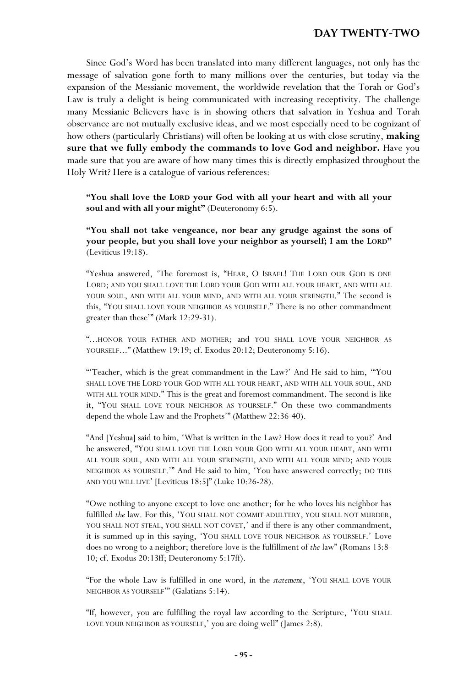Since God's Word has been translated into many different languages, not only has the message of salvation gone forth to many millions over the centuries, but today via the expansion of the Messianic movement, the worldwide revelation that the Torah or God's Law is truly a delight is being communicated with increasing receptivity. The challenge many Messianic Believers have is in showing others that salvation in Yeshua and Torah observance are not mutually exclusive ideas, and we most especially need to be cognizant of how others (particularly Christians) will often be looking at us with close scrutiny, **making sure that we fully embody the commands to love God and neighbor.** Have you made sure that you are aware of how many times this is directly emphasized throughout the Holy Writ? Here is a catalogue of various references:

**"You shall love the LORD your God with all your heart and with all your soul and with all your might"** (Deuteronomy 6:5).

**"You shall not take vengeance, nor bear any grudge against the sons of your people, but you shall love your neighbor as yourself; I am the LORD"** (Leviticus 19:18).

"Yeshua answered, 'The foremost is, "HEAR, O ISRAEL! THE LORD OUR GOD IS ONE LORD; AND YOU SHALL LOVE THE LORD YOUR GOD WITH ALL YOUR HEART, AND WITH ALL YOUR SOUL, AND WITH ALL YOUR MIND, AND WITH ALL YOUR STRENGTH." The second is this, "YOU SHALL LOVE YOUR NEIGHBOR AS YOURSELF." There is no other commandment greater than these'" (Mark 12:29-31).

"...HONOR YOUR FATHER AND MOTHER; and YOU SHALL LOVE YOUR NEIGHBOR AS YOURSELF..." (Matthew 19:19; cf. Exodus 20:12; Deuteronomy 5:16).

"'Teacher, which is the great commandment in the Law?' And He said to him, '"YOU SHALL LOVE THE LORD YOUR GOD WITH ALL YOUR HEART, AND WITH ALL YOUR SOUL, AND WITH ALL YOUR MIND." This is the great and foremost commandment. The second is like it, "YOU SHALL LOVE YOUR NEIGHBOR AS YOURSELF." On these two commandments depend the whole Law and the Prophets'" (Matthew 22:36-40).

"And [Yeshua] said to him, 'What is written in the Law? How does it read to you?' And he answered, "YOU SHALL LOVE THE LORD YOUR GOD WITH ALL YOUR HEART, AND WITH ALL YOUR SOUL, AND WITH ALL YOUR STRENGTH, AND WITH ALL YOUR MIND; AND YOUR NEIGHBOR AS YOURSELF.'" And He said to him, 'You have answered correctly; DO THIS AND YOU WILL LIVE' [Leviticus 18:5]" (Luke 10:26-28).

"Owe nothing to anyone except to love one another; for he who loves his neighbor has fulfilled *the* law. For this, 'YOU SHALL NOT COMMIT ADULTERY, YOU SHALL NOT MURDER, YOU SHALL NOT STEAL, YOU SHALL NOT COVET,' and if there is any other commandment, it is summed up in this saying, 'YOU SHALL LOVE YOUR NEIGHBOR AS YOURSELF.' Love does no wrong to a neighbor; therefore love is the fulfillment of *the* law" (Romans 13:8- 10; cf. Exodus 20:13ff; Deuteronomy 5:17ff).

"For the whole Law is fulfilled in one word, in the *statement*, 'YOU SHALL LOVE YOUR NEIGHBOR AS YOURSELF'" (Galatians 5:14).

"If, however, you are fulfilling the royal law according to the Scripture, 'YOU SHALL LOVE YOUR NEIGHBOR AS YOURSELF,' you are doing well" (James 2:8).